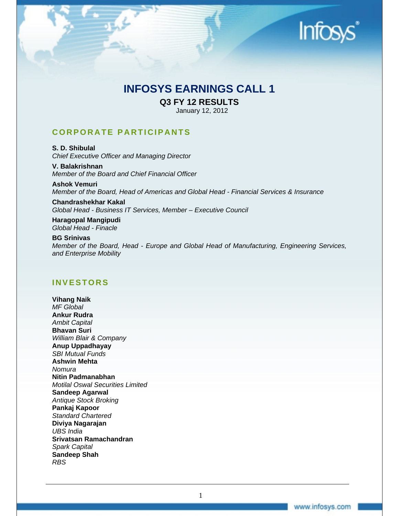

# **INFOSYS EARNINGS CALL 1**

**Q3 FY 12 RESULTS** 

January 12, 2012

# **CORPORATE PARTICIPANTS**

**S. D. Shibulal**  *Chief Executive Officer and Managing Director* 

**V. Balakrishnan**  *Member of the Board and Chief Financial Officer* 

**Ashok Vemuri**  *Member of the Board, Head of Americas and Global Head - Financial Services & Insurance* 

**Chandrashekhar Kakal**  *Global Head - Business IT Services, Member – Executive Council* 

**Haragopal Mangipudi**  *Global Head - Finacle* 

**BG Srinivas**  *Member of the Board, Head - Europe and Global Head of Manufacturing, Engineering Services, and Enterprise Mobility* 

# **INVESTORS**

**Vihang Naik**  *MF Global*  **Ankur Rudra**  *Ambit Capital*  **Bhavan Suri**  *William Blair & Company* **Anup Uppadhayay**  *SBI Mutual Funds* **Ashwin Mehta**  *Nomura* **Nitin Padmanabhan**  *Motilal Oswal Securities Limited* **Sandeep Agarwal**  *Antique Stock Broking* **Pankaj Kapoor**  *Standard Chartered* **Diviya Nagarajan**  *UBS India* **Srivatsan Ramachandran**  *Spark Capital* **Sandeep Shah**  *RBS*

1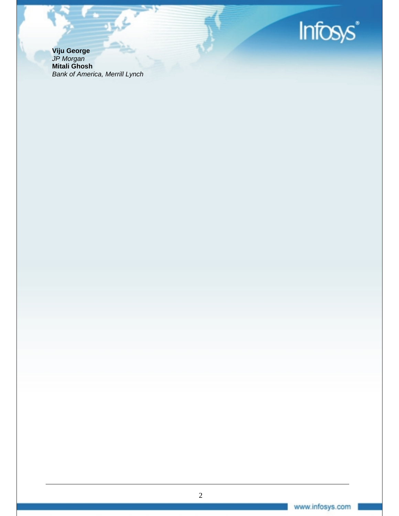

**Viju George**  *JP Morgan* **Mitali Ghosh**  *Bank of America, Merrill Lynch*

عماره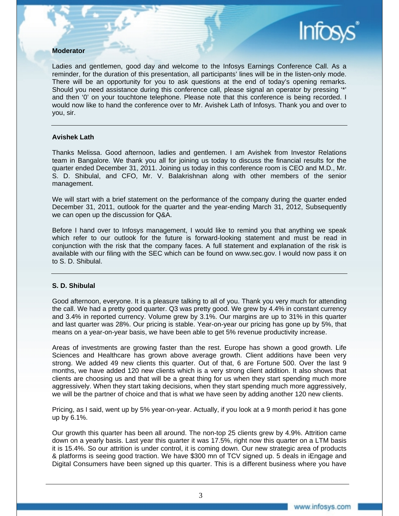# **Moderator**

Ladies and gentlemen, good day and welcome to the Infosys Earnings Conference Call. As a reminder, for the duration of this presentation, all participants' lines will be in the listen-only mode. There will be an opportunity for you to ask questions at the end of today's opening remarks. Should you need assistance during this conference call, please signal an operator by pressing '\*' and then '0' on your touchtone telephone. Please note that this conference is being recorded. I would now like to hand the conference over to Mr. Avishek Lath of Infosys. Thank you and over to you, sir.

# **Avishek Lath**

Thanks Melissa. Good afternoon, ladies and gentlemen. I am Avishek from Investor Relations team in Bangalore. We thank you all for joining us today to discuss the financial results for the quarter ended December 31, 2011. Joining us today in this conference room is CEO and M.D., Mr. S. D. Shibulal, and CFO, Mr. V. Balakrishnan along with other members of the senior management.

We will start with a brief statement on the performance of the company during the quarter ended December 31, 2011, outlook for the quarter and the year-ending March 31, 2012, Subsequently we can open up the discussion for Q&A.

Before I hand over to Infosys management, I would like to remind you that anything we speak which refer to our outlook for the future is forward-looking statement and must be read in conjunction with the risk that the company faces. A full statement and explanation of the risk is available with our filing with the SEC which can be found on www.sec.gov. I would now pass it on to S. D. Shibulal.

#### **S. D. Shibulal**

Good afternoon, everyone. It is a pleasure talking to all of you. Thank you very much for attending the call. We had a pretty good quarter. Q3 was pretty good. We grew by 4.4% in constant currency and 3.4% in reported currency. Volume grew by 3.1%. Our margins are up to 31% in this quarter and last quarter was 28%. Our pricing is stable. Year-on-year our pricing has gone up by 5%, that means on a year-on-year basis, we have been able to get 5% revenue productivity increase.

Areas of investments are growing faster than the rest. Europe has shown a good growth. Life Sciences and Healthcare has grown above average growth. Client additions have been very strong. We added 49 new clients this quarter. Out of that, 6 are Fortune 500. Over the last 9 months, we have added 120 new clients which is a very strong client addition. It also shows that clients are choosing us and that will be a great thing for us when they start spending much more aggressively. When they start taking decisions, when they start spending much more aggressively, we will be the partner of choice and that is what we have seen by adding another 120 new clients.

Pricing, as I said, went up by 5% year-on-year. Actually, if you look at a 9 month period it has gone up by 6.1%.

Our growth this quarter has been all around. The non-top 25 clients grew by 4.9%. Attrition came down on a yearly basis. Last year this quarter it was 17.5%, right now this quarter on a LTM basis it is 15.4%. So our attrition is under control, it is coming down. Our new strategic area of products & platforms is seeing good traction. We have \$300 mn of TCV signed up. 5 deals in iEngage and Digital Consumers have been signed up this quarter. This is a different business where you have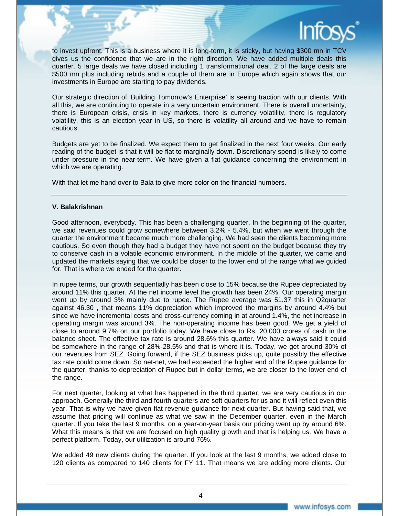

to invest upfront. This is a business where it is long-term, it is sticky, but having \$300 mn in TCV gives us the confidence that we are in the right direction. We have added multiple deals this quarter. 5 large deals we have closed including 1 transformational deal. 2 of the large deals are \$500 mn plus including rebids and a couple of them are in Europe which again shows that our investments in Europe are starting to pay dividends.

Our strategic direction of 'Building Tomorrow's Enterprise' is seeing traction with our clients. With all this, we are continuing to operate in a very uncertain environment. There is overall uncertainty, there is European crisis, crisis in key markets, there is currency volatility, there is regulatory volatility, this is an election year in US, so there is volatility all around and we have to remain cautious.

Budgets are yet to be finalized. We expect them to get finalized in the next four weeks. Our early reading of the budget is that it will be flat to marginally down. Discretionary spend is likely to come under pressure in the near-term. We have given a flat guidance concerning the environment in which we are operating.

With that let me hand over to Bala to give more color on the financial numbers.

# **V. Balakrishnan**

Good afternoon, everybody. This has been a challenging quarter. In the beginning of the quarter, we said revenues could grow somewhere between 3.2% - 5.4%, but when we went through the quarter the environment became much more challenging. We had seen the clients becoming more cautious. So even though they had a budget they have not spent on the budget because they try to conserve cash in a volatile economic environment. In the middle of the quarter, we came and updated the markets saying that we could be closer to the lower end of the range what we guided for. That is where we ended for the quarter.

In rupee terms, our growth sequentially has been close to 15% because the Rupee depreciated by around 11% this quarter. At the net income level the growth has been 24%. Our operating margin went up by around 3% mainly due to rupee. The Rupee average was 51.37 this in Q2quarter against 46.30 , that means 11% depreciation which improved the margins by around 4.4% but since we have incremental costs and cross-currency coming in at around 1.4%, the net increase in operating margin was around 3%. The non-operating income has been good. We get a yield of close to around 9.7% on our portfolio today. We have close to Rs. 20,000 crores of cash in the balance sheet. The effective tax rate is around 28.6% this quarter. We have always said it could be somewhere in the range of 28%-28.5% and that is where it is. Today, we get around 30% of our revenues from SEZ. Going forward, if the SEZ business picks up, quite possibly the effective tax rate could come down. So net-net, we had exceeded the higher end of the Rupee guidance for the quarter, thanks to depreciation of Rupee but in dollar terms, we are closer to the lower end of the range.

For next quarter, looking at what has happened in the third quarter, we are very cautious in our approach. Generally the third and fourth quarters are soft quarters for us and it will reflect even this year. That is why we have given flat revenue guidance for next quarter. But having said that, we assume that pricing will continue as what we saw in the December quarter, even in the March quarter. If you take the last 9 months, on a year-on-year basis our pricing went up by around 6%. What this means is that we are focused on high quality growth and that is helping us. We have a perfect platform. Today, our utilization is around 76%.

We added 49 new clients during the quarter. If you look at the last 9 months, we added close to 120 clients as compared to 140 clients for FY 11. That means we are adding more clients. Our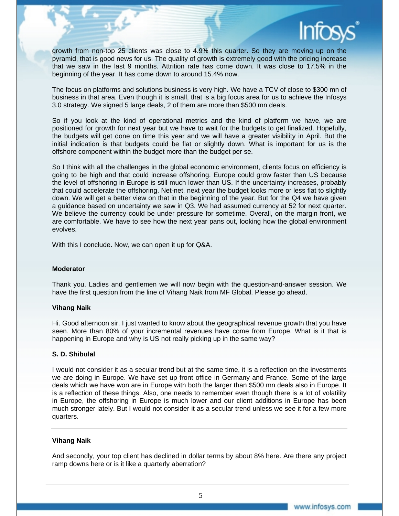

growth from non-top 25 clients was close to 4.9% this quarter. So they are moving up on the pyramid, that is good news for us. The quality of growth is extremely good with the pricing increase that we saw in the last 9 months. Attrition rate has come down. It was close to 17.5% in the beginning of the year. It has come down to around 15.4% now.

The focus on platforms and solutions business is very high. We have a TCV of close to \$300 mn of business in that area. Even though it is small, that is a big focus area for us to achieve the Infosys 3.0 strategy. We signed 5 large deals, 2 of them are more than \$500 mn deals.

So if you look at the kind of operational metrics and the kind of platform we have, we are positioned for growth for next year but we have to wait for the budgets to get finalized. Hopefully, the budgets will get done on time this year and we will have a greater visibility in April. But the initial indication is that budgets could be flat or slightly down. What is important for us is the offshore component within the budget more than the budget per se.

So I think with all the challenges in the global economic environment, clients focus on efficiency is going to be high and that could increase offshoring. Europe could grow faster than US because the level of offshoring in Europe is still much lower than US. If the uncertainty increases, probably that could accelerate the offshoring. Net-net, next year the budget looks more or less flat to slightly down. We will get a better view on that in the beginning of the year. But for the Q4 we have given a guidance based on uncertainty we saw in Q3. We had assumed currency at 52 for next quarter. We believe the currency could be under pressure for sometime. Overall, on the margin front, we are comfortable. We have to see how the next year pans out, looking how the global environment evolves.

With this I conclude. Now, we can open it up for Q&A.

#### **Moderator**

Thank you. Ladies and gentlemen we will now begin with the question-and-answer session. We have the first question from the line of Vihang Naik from MF Global. Please go ahead.

# **Vihang Naik**

Hi. Good afternoon sir. I just wanted to know about the geographical revenue growth that you have seen. More than 80% of your incremental revenues have come from Europe. What is it that is happening in Europe and why is US not really picking up in the same way?

#### **S. D. Shibulal**

I would not consider it as a secular trend but at the same time, it is a reflection on the investments we are doing in Europe. We have set up front office in Germany and France. Some of the large deals which we have won are in Europe with both the larger than \$500 mn deals also in Europe. It is a reflection of these things. Also, one needs to remember even though there is a lot of volatility in Europe, the offshoring in Europe is much lower and our client additions in Europe has been much stronger lately. But I would not consider it as a secular trend unless we see it for a few more quarters.

# **Vihang Naik**

And secondly, your top client has declined in dollar terms by about 8% here. Are there any project ramp downs here or is it like a quarterly aberration?

5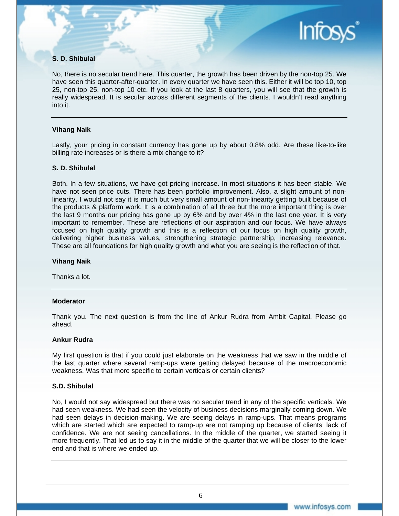# **S. D. Shibulal**

No, there is no secular trend here. This quarter, the growth has been driven by the non-top 25. We have seen this quarter-after-quarter. In every quarter we have seen this. Either it will be top 10, top 25, non-top 25, non-top 10 etc. If you look at the last 8 quarters, you will see that the growth is really widespread. It is secular across different segments of the clients. I wouldn't read anything into it.

# **Vihang Naik**

Lastly, your pricing in constant currency has gone up by about 0.8% odd. Are these like-to-like billing rate increases or is there a mix change to it?

#### **S. D. Shibulal**

Both. In a few situations, we have got pricing increase. In most situations it has been stable. We have not seen price cuts. There has been portfolio improvement. Also, a slight amount of nonlinearity, I would not say it is much but very small amount of non-linearity getting built because of the products & platform work. It is a combination of all three but the more important thing is over the last 9 months our pricing has gone up by 6% and by over 4% in the last one year. It is very important to remember. These are reflections of our aspiration and our focus. We have always focused on high quality growth and this is a reflection of our focus on high quality growth, delivering higher business values, strengthening strategic partnership, increasing relevance. These are all foundations for high quality growth and what you are seeing is the reflection of that.

#### **Vihang Naik**

Thanks a lot.

#### **Moderator**

Thank you. The next question is from the line of Ankur Rudra from Ambit Capital. Please go ahead.

#### **Ankur Rudra**

My first question is that if you could just elaborate on the weakness that we saw in the middle of the last quarter where several ramp-ups were getting delayed because of the macroeconomic weakness. Was that more specific to certain verticals or certain clients?

# **S.D. Shibulal**

No, I would not say widespread but there was no secular trend in any of the specific verticals. We had seen weakness. We had seen the velocity of business decisions marginally coming down. We had seen delays in decision-making. We are seeing delays in ramp-ups. That means programs which are started which are expected to ramp-up are not ramping up because of clients' lack of confidence. We are not seeing cancellations. In the middle of the quarter, we started seeing it more frequently. That led us to say it in the middle of the quarter that we will be closer to the lower end and that is where we ended up.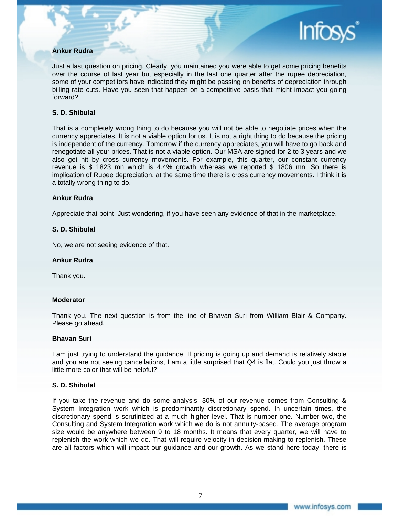# **Ankur Rudra**

Just a last question on pricing. Clearly, you maintained you were able to get some pricing benefits over the course of last year but especially in the last one quarter after the rupee depreciation, some of your competitors have indicated they might be passing on benefits of depreciation through billing rate cuts. Have you seen that happen on a competitive basis that might impact you going forward?

# **S. D. Shibulal**

That is a completely wrong thing to do because you will not be able to negotiate prices when the currency appreciates. It is not a viable option for us. It is not a right thing to do because the pricing is independent of the currency. Tomorrow if the currency appreciates, you will have to go back and renegotiate all your prices. That is not a viable option. Our MSA are signed for 2 to 3 years **a**nd we also get hit by cross currency movements. For example, this quarter, our constant currency revenue is \$ 1823 mn which is 4.4% growth whereas we reported \$ 1806 mn. So there is implication of Rupee depreciation, at the same time there is cross currency movements. I think it is a totally wrong thing to do.

#### **Ankur Rudra**

Appreciate that point. Just wondering, if you have seen any evidence of that in the marketplace.

# **S. D. Shibulal**

No, we are not seeing evidence of that.

#### **Ankur Rudra**

Thank you.

#### **Moderator**

Thank you. The next question is from the line of Bhavan Suri from William Blair & Company. Please go ahead.

#### **Bhavan Suri**

I am just trying to understand the guidance. If pricing is going up and demand is relatively stable and you are not seeing cancellations, I am a little surprised that Q4 is flat. Could you just throw a little more color that will be helpful?

#### **S. D. Shibulal**

If you take the revenue and do some analysis, 30% of our revenue comes from Consulting & System Integration work which is predominantly discretionary spend. In uncertain times, the discretionary spend is scrutinized at a much higher level. That is number one. Number two, the Consulting and System Integration work which we do is not annuity-based. The average program size would be anywhere between 9 to 18 months. It means that every quarter, we will have to replenish the work which we do. That will require velocity in decision-making to replenish. These are all factors which will impact our guidance and our growth. As we stand here today, there is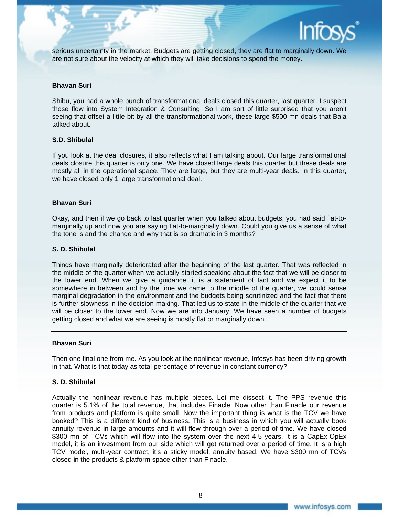

serious uncertainty in the market. Budgets are getting closed, they are flat to marginally down. We are not sure about the velocity at which they will take decisions to spend the money.

#### **Bhavan Suri**

Shibu, you had a whole bunch of transformational deals closed this quarter, last quarter. I suspect those flow into System Integration & Consulting. So I am sort of little surprised that you aren't seeing that offset a little bit by all the transformational work, these large \$500 mn deals that Bala talked about.

# **S.D. Shibulal**

If you look at the deal closures, it also reflects what I am talking about. Our large transformational deals closure this quarter is only one. We have closed large deals this quarter but these deals are mostly all in the operational space. They are large, but they are multi-year deals. In this quarter, we have closed only 1 large transformational deal.

# **Bhavan Suri**

Okay, and then if we go back to last quarter when you talked about budgets, you had said flat-tomarginally up and now you are saying flat-to-marginally down. Could you give us a sense of what the tone is and the change and why that is so dramatic in 3 months?

# **S. D. Shibulal**

Things have marginally deteriorated after the beginning of the last quarter. That was reflected in the middle of the quarter when we actually started speaking about the fact that we will be closer to the lower end. When we give a guidance, it is a statement of fact and we expect it to be somewhere in between and by the time we came to the middle of the quarter, we could sense marginal degradation in the environment and the budgets being scrutinized and the fact that there is further slowness in the decision-making. That led us to state in the middle of the quarter that we will be closer to the lower end. Now we are into January. We have seen a number of budgets getting closed and what we are seeing is mostly flat or marginally down.

#### **Bhavan Suri**

Then one final one from me. As you look at the nonlinear revenue, Infosys has been driving growth in that. What is that today as total percentage of revenue in constant currency?

# **S. D. Shibulal**

Actually the nonlinear revenue has multiple pieces. Let me dissect it. The PPS revenue this quarter is 5.1% of the total revenue, that includes Finacle. Now other than Finacle our revenue from products and platform is quite small. Now the important thing is what is the TCV we have booked? This is a different kind of business. This is a business in which you will actually book annuity revenue in large amounts and it will flow through over a period of time. We have closed \$300 mn of TCVs which will flow into the system over the next 4-5 years. It is a CapEx-OpEx model, it is an investment from our side which will get returned over a period of time. It is a high TCV model, multi-year contract, it's a sticky model, annuity based. We have \$300 mn of TCVs closed in the products & platform space other than Finacle.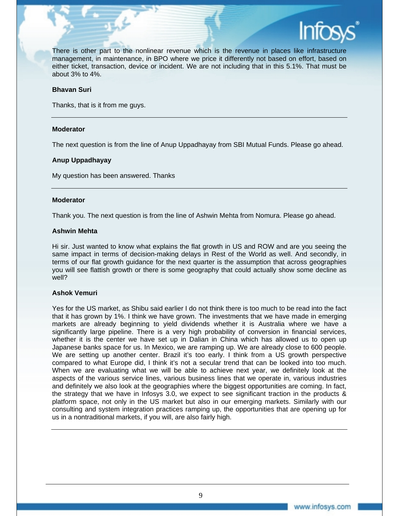

There is other part to the nonlinear revenue which is the revenue in places like infrastructure management, in maintenance, in BPO where we price it differently not based on effort, based on either ticket, transaction, device or incident. We are not including that in this 5.1%. That must be about 3% to 4%.

#### **Bhavan Suri**

Thanks, that is it from me guys.

# **Moderator**

The next question is from the line of Anup Uppadhayay from SBI Mutual Funds. Please go ahead.

# **Anup Uppadhayay**

My question has been answered. Thanks

#### **Moderator**

Thank you. The next question is from the line of Ashwin Mehta from Nomura. Please go ahead.

# **Ashwin Mehta**

Hi sir. Just wanted to know what explains the flat growth in US and ROW and are you seeing the same impact in terms of decision-making delays in Rest of the World as well. And secondly, in terms of our flat growth guidance for the next quarter is the assumption that across geographies you will see flattish growth or there is some geography that could actually show some decline as well?

# **Ashok Vemuri**

Yes for the US market, as Shibu said earlier I do not think there is too much to be read into the fact that it has grown by 1%. I think we have grown. The investments that we have made in emerging markets are already beginning to yield dividends whether it is Australia where we have a significantly large pipeline. There is a very high probability of conversion in financial services, whether it is the center we have set up in Dalian in China which has allowed us to open up Japanese banks space for us. In Mexico, we are ramping up. We are already close to 600 people. We are setting up another center. Brazil it's too early. I think from a US growth perspective compared to what Europe did, I think it's not a secular trend that can be looked into too much. When we are evaluating what we will be able to achieve next year, we definitely look at the aspects of the various service lines, various business lines that we operate in, various industries and definitely we also look at the geographies where the biggest opportunities are coming. In fact, the strategy that we have in Infosys 3.0, we expect to see significant traction in the products & platform space, not only in the US market but also in our emerging markets. Similarly with our consulting and system integration practices ramping up, the opportunities that are opening up for us in a nontraditional markets, if you will, are also fairly high.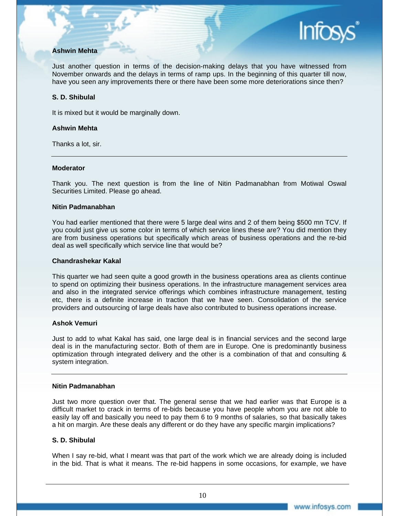# **Ashwin Mehta**

Just another question in terms of the decision-making delays that you have witnessed from November onwards and the delays in terms of ramp ups. In the beginning of this quarter till now, have you seen any improvements there or there have been some more deteriorations since then?

# **S. D. Shibulal**

It is mixed but it would be marginally down.

# **Ashwin Mehta**

Thanks a lot, sir.

# **Moderator**

Thank you. The next question is from the line of Nitin Padmanabhan from Motiwal Oswal Securities Limited. Please go ahead.

# **Nitin Padmanabhan**

You had earlier mentioned that there were 5 large deal wins and 2 of them being \$500 mn TCV. If you could just give us some color in terms of which service lines these are? You did mention they are from business operations but specifically which areas of business operations and the re-bid deal as well specifically which service line that would be?

#### **Chandrashekar Kakal**

This quarter we had seen quite a good growth in the business operations area as clients continue to spend on optimizing their business operations. In the infrastructure management services area and also in the integrated service offerings which combines infrastructure management, testing etc, there is a definite increase in traction that we have seen. Consolidation of the service providers and outsourcing of large deals have also contributed to business operations increase.

#### **Ashok Vemuri**

Just to add to what Kakal has said, one large deal is in financial services and the second large deal is in the manufacturing sector. Both of them are in Europe. One is predominantly business optimization through integrated delivery and the other is a combination of that and consulting & system integration.

# **Nitin Padmanabhan**

Just two more question over that. The general sense that we had earlier was that Europe is a difficult market to crack in terms of re-bids because you have people whom you are not able to easily lay off and basically you need to pay them 6 to 9 months of salaries, so that basically takes a hit on margin. Are these deals any different or do they have any specific margin implications?

# **S. D. Shibulal**

When I say re-bid, what I meant was that part of the work which we are already doing is included in the bid. That is what it means. The re-bid happens in some occasions, for example, we have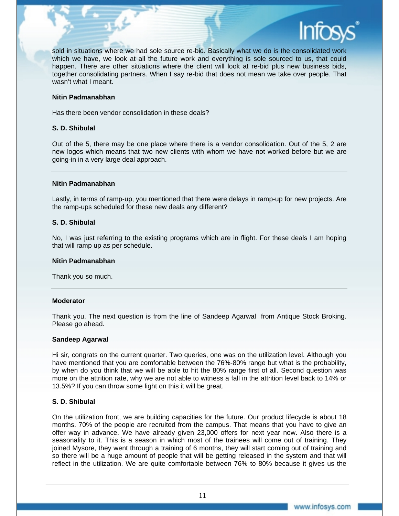

sold in situations where we had sole source re-bid. Basically what we do is the consolidated work which we have, we look at all the future work and everything is sole sourced to us, that could happen. There are other situations where the client will look at re-bid plus new business bids, together consolidating partners. When I say re-bid that does not mean we take over people. That wasn't what I meant.

#### **Nitin Padmanabhan**

Has there been vendor consolidation in these deals?

# **S. D. Shibulal**

Out of the 5, there may be one place where there is a vendor consolidation. Out of the 5, 2 are new logos which means that two new clients with whom we have not worked before but we are going-in in a very large deal approach.

#### **Nitin Padmanabhan**

Lastly, in terms of ramp-up, you mentioned that there were delays in ramp-up for new projects. Are the ramp-ups scheduled for these new deals any different?

# **S. D. Shibulal**

No, I was just referring to the existing programs which are in flight. For these deals I am hoping that will ramp up as per schedule.

#### **Nitin Padmanabhan**

Thank you so much.

#### **Moderator**

Thank you. The next question is from the line of Sandeep Agarwal from Antique Stock Broking. Please go ahead.

#### **Sandeep Agarwal**

Hi sir, congrats on the current quarter. Two queries, one was on the utilization level. Although you have mentioned that you are comfortable between the 76%-80% range but what is the probability, by when do you think that we will be able to hit the 80% range first of all. Second question was more on the attrition rate, why we are not able to witness a fall in the attrition level back to 14% or 13.5%? If you can throw some light on this it will be great.

# **S. D. Shibulal**

On the utilization front, we are building capacities for the future. Our product lifecycle is about 18 months. 70% of the people are recruited from the campus. That means that you have to give an offer way in advance. We have already given 23,000 offers for next year now. Also there is a seasonality to it. This is a season in which most of the trainees will come out of training. They joined Mysore, they went through a training of 6 months, they will start coming out of training and so there will be a huge amount of people that will be getting released in the system and that will reflect in the utilization. We are quite comfortable between 76% to 80% because it gives us the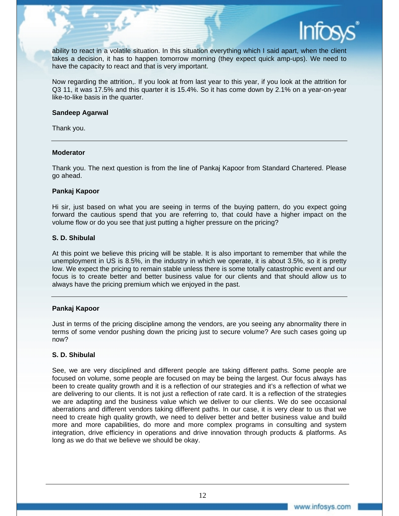

ability to react in a volatile situation. In this situation everything which I said apart, when the client takes a decision, it has to happen tomorrow morning (they expect quick amp-ups). We need to have the capacity to react and that is very important.

Now regarding the attrition,. If you look at from last year to this year, if you look at the attrition for Q3 11, it was 17.5% and this quarter it is 15.4%. So it has come down by 2.1% on a year-on-year like-to-like basis in the quarter.

#### **Sandeep Agarwal**

Thank you.

# **Moderator**

Thank you. The next question is from the line of Pankaj Kapoor from Standard Chartered. Please go ahead.

# **Pankaj Kapoor**

Hi sir, just based on what you are seeing in terms of the buying pattern, do you expect going forward the cautious spend that you are referring to, that could have a higher impact on the volume flow or do you see that just putting a higher pressure on the pricing?

# **S. D. Shibulal**

At this point we believe this pricing will be stable. It is also important to remember that while the unemployment in US is 8.5%, in the industry in which we operate, it is about 3.5%, so it is pretty low. We expect the pricing to remain stable unless there is some totally catastrophic event and our focus is to create better and better business value for our clients and that should allow us to always have the pricing premium which we enjoyed in the past.

# **Pankaj Kapoor**

Just in terms of the pricing discipline among the vendors, are you seeing any abnormality there in terms of some vendor pushing down the pricing just to secure volume? Are such cases going up now?

# **S. D. Shibulal**

See, we are very disciplined and different people are taking different paths. Some people are focused on volume, some people are focused on may be being the largest. Our focus always has been to create quality growth and it is a reflection of our strategies and it's a reflection of what we are delivering to our clients. It is not just a reflection of rate card. It is a reflection of the strategies we are adapting and the business value which we deliver to our clients. We do see occasional aberrations and different vendors taking different paths. In our case, it is very clear to us that we need to create high quality growth, we need to deliver better and better business value and build more and more capabilities, do more and more complex programs in consulting and system integration, drive efficiency in operations and drive innovation through products & platforms. As long as we do that we believe we should be okay.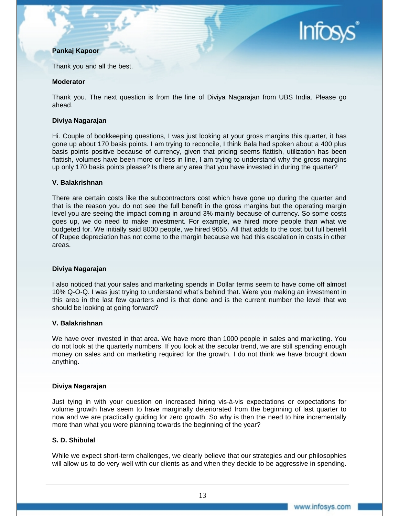# **Pankaj Kapoor**



Thank you and all the best.

# **Moderator**

Thank you. The next question is from the line of Diviya Nagarajan from UBS India. Please go ahead.

# **Diviya Nagarajan**

Hi. Couple of bookkeeping questions, I was just looking at your gross margins this quarter, it has gone up about 170 basis points. I am trying to reconcile, I think Bala had spoken about a 400 plus basis points positive because of currency, given that pricing seems flattish, utilization has been flattish, volumes have been more or less in line, I am trying to understand why the gross margins up only 170 basis points please? Is there any area that you have invested in during the quarter?

# **V. Balakrishnan**

There are certain costs like the subcontractors cost which have gone up during the quarter and that is the reason you do not see the full benefit in the gross margins but the operating margin level you are seeing the impact coming in around 3% mainly because of currency. So some costs goes up, we do need to make investment. For example, we hired more people than what we budgeted for. We initially said 8000 people, we hired 9655. All that adds to the cost but full benefit of Rupee depreciation has not come to the margin because we had this escalation in costs in other areas.

# **Diviya Nagarajan**

I also noticed that your sales and marketing spends in Dollar terms seem to have come off almost 10% Q-O-Q. I was just trying to understand what's behind that. Were you making an investment in this area in the last few quarters and is that done and is the current number the level that we should be looking at going forward?

#### **V. Balakrishnan**

We have over invested in that area. We have more than 1000 people in sales and marketing. You do not look at the quarterly numbers. If you look at the secular trend, we are still spending enough money on sales and on marketing required for the growth. I do not think we have brought down anything.

# **Diviya Nagarajan**

Just tying in with your question on increased hiring vis-à-vis expectations or expectations for volume growth have seem to have marginally deteriorated from the beginning of last quarter to now and we are practically guiding for zero growth. So why is then the need to hire incrementally more than what you were planning towards the beginning of the year?

# **S. D. Shibulal**

While we expect short-term challenges, we clearly believe that our strategies and our philosophies will allow us to do very well with our clients as and when they decide to be aggressive in spending.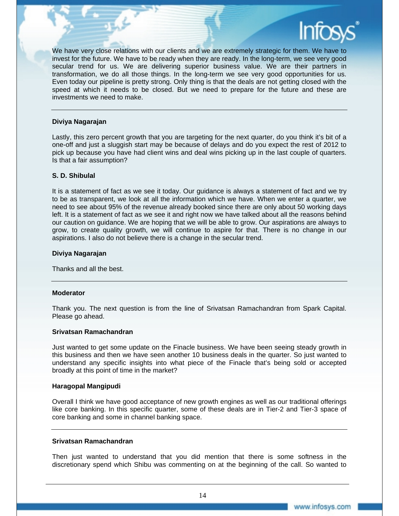

We have very close relations with our clients and we are extremely strategic for them. We have to invest for the future. We have to be ready when they are ready. In the long-term, we see very good secular trend for us. We are delivering superior business value. We are their partners in transformation, we do all those things. In the long-term we see very good opportunities for us. Even today our pipeline is pretty strong. Only thing is that the deals are not getting closed with the speed at which it needs to be closed. But we need to prepare for the future and these are investments we need to make.

#### **Diviya Nagarajan**

Lastly, this zero percent growth that you are targeting for the next quarter, do you think it's bit of a one-off and just a sluggish start may be because of delays and do you expect the rest of 2012 to pick up because you have had client wins and deal wins picking up in the last couple of quarters. Is that a fair assumption?

# **S. D. Shibulal**

It is a statement of fact as we see it today. Our guidance is always a statement of fact and we try to be as transparent, we look at all the information which we have. When we enter a quarter, we need to see about 95% of the revenue already booked since there are only about 50 working days left. It is a statement of fact as we see it and right now we have talked about all the reasons behind our caution on guidance. We are hoping that we will be able to grow. Our aspirations are always to grow, to create quality growth, we will continue to aspire for that. There is no change in our aspirations. I also do not believe there is a change in the secular trend.

# **Diviya Nagarajan**

Thanks and all the best.

#### **Moderator**

Thank you. The next question is from the line of Srivatsan Ramachandran from Spark Capital. Please go ahead.

#### **Srivatsan Ramachandran**

Just wanted to get some update on the Finacle business. We have been seeing steady growth in this business and then we have seen another 10 business deals in the quarter. So just wanted to understand any specific insights into what piece of the Finacle that's being sold or accepted broadly at this point of time in the market?

#### **Haragopal Mangipudi**

Overall I think we have good acceptance of new growth engines as well as our traditional offerings like core banking. In this specific quarter, some of these deals are in Tier-2 and Tier-3 space of core banking and some in channel banking space.

#### **Srivatsan Ramachandran**

Then just wanted to understand that you did mention that there is some softness in the discretionary spend which Shibu was commenting on at the beginning of the call. So wanted to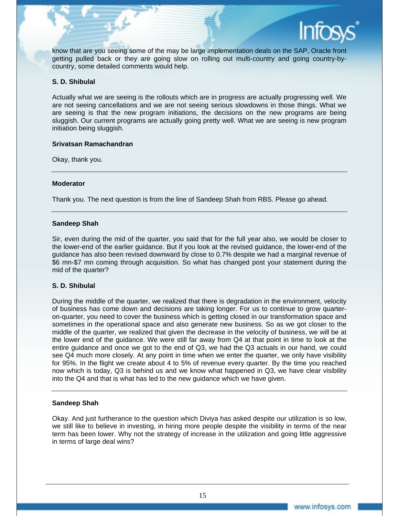

know that are you seeing some of the may be large implementation deals on the SAP, Oracle front getting pulled back or they are going slow on rolling out multi-country and going country-bycountry, some detailed comments would help.

# **S. D. Shibulal**

Actually what we are seeing is the rollouts which are in progress are actually progressing well. We are not seeing cancellations and we are not seeing serious slowdowns in those things. What we are seeing is that the new program initiations, the decisions on the new programs are being sluggish. Our current programs are actually going pretty well. What we are seeing is new program initiation being sluggish.

# **Srivatsan Ramachandran**

Okay, thank you.

# **Moderator**

Thank you. The next question is from the line of Sandeep Shah from RBS. Please go ahead.

# **Sandeep Shah**

Sir, even during the mid of the quarter, you said that for the full year also, we would be closer to the lower-end of the earlier guidance. But if you look at the revised guidance, the lower-end of the guidance has also been revised downward by close to 0.7% despite we had a marginal revenue of \$6 mn-\$7 mn coming through acquisition. So what has changed post your statement during the mid of the quarter?

# **S. D. Shibulal**

During the middle of the quarter, we realized that there is degradation in the environment, velocity of business has come down and decisions are taking longer. For us to continue to grow quarteron-quarter, you need to cover the business which is getting closed in our transformation space and sometimes in the operational space and also generate new business. So as we got closer to the middle of the quarter, we realized that given the decrease in the velocity of business, we will be at the lower end of the guidance. We were still far away from Q4 at that point in time to look at the entire guidance and once we got to the end of Q3, we had the Q3 actuals in our hand, we could see Q4 much more closely. At any point in time when we enter the quarter, we only have visibility for 95%. In the flight we create about 4 to 5% of revenue every quarter. By the time you reached now which is today, Q3 is behind us and we know what happened in Q3, we have clear visibility into the Q4 and that is what has led to the new guidance which we have given.

# **Sandeep Shah**

Okay. And just furtherance to the question which Diviya has asked despite our utilization is so low, we still like to believe in investing, in hiring more people despite the visibility in terms of the near term has been lower. Why not the strategy of increase in the utilization and going little aggressive in terms of large deal wins?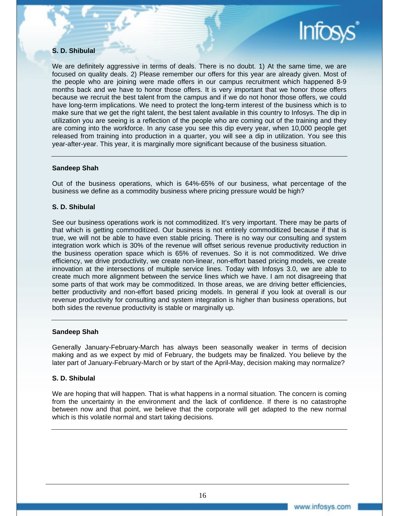

# **S. D. Shibulal**

We are definitely aggressive in terms of deals. There is no doubt. 1) At the same time, we are focused on quality deals. 2) Please remember our offers for this year are already given. Most of the people who are joining were made offers in our campus recruitment which happened 8-9 months back and we have to honor those offers. It is very important that we honor those offers because we recruit the best talent from the campus and if we do not honor those offers, we could have long-term implications. We need to protect the long-term interest of the business which is to make sure that we get the right talent, the best talent available in this country to Infosys. The dip in utilization you are seeing is a reflection of the people who are coming out of the training and they are coming into the workforce. In any case you see this dip every year, when 10,000 people get released from training into production in a quarter, you will see a dip in utilization. You see this year-after-year. This year, it is marginally more significant because of the business situation.

# **Sandeep Shah**

Out of the business operations, which is 64%-65% of our business, what percentage of the business we define as a commodity business where pricing pressure would be high?

# **S. D. Shibulal**

See our business operations work is not commoditized. It's very important. There may be parts of that which is getting commoditized. Our business is not entirely commoditized because if that is true, we will not be able to have even stable pricing. There is no way our consulting and system integration work which is 30% of the revenue will offset serious revenue productivity reduction in the business operation space which is 65% of revenues. So it is not commoditized. We drive efficiency, we drive productivity, we create non-linear, non-effort based pricing models, we create innovation at the intersections of multiple service lines. Today with Infosys 3.0, we are able to create much more alignment between the service lines which we have. I am not disagreeing that some parts of that work may be commoditized. In those areas, we are driving better efficiencies, better productivity and non-effort based pricing models. In general if you look at overall is our revenue productivity for consulting and system integration is higher than business operations, but both sides the revenue productivity is stable or marginally up.

#### **Sandeep Shah**

Generally January-February-March has always been seasonally weaker in terms of decision making and as we expect by mid of February, the budgets may be finalized. You believe by the later part of January-February-March or by start of the April-May, decision making may normalize?

# **S. D. Shibulal**

We are hoping that will happen. That is what happens in a normal situation. The concern is coming from the uncertainty in the environment and the lack of confidence. If there is no catastrophe between now and that point, we believe that the corporate will get adapted to the new normal which is this volatile normal and start taking decisions.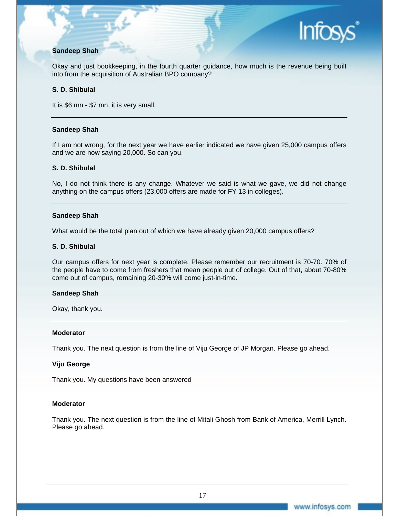

# **Sandeep Shah**

Okay and just bookkeeping, in the fourth quarter guidance, how much is the revenue being built into from the acquisition of Australian BPO company?

# **S. D. Shibulal**

It is \$6 mn - \$7 mn, it is very small.

# **Sandeep Shah**

If I am not wrong, for the next year we have earlier indicated we have given 25,000 campus offers and we are now saying 20,000. So can you.

# **S. D. Shibulal**

No, I do not think there is any change. Whatever we said is what we gave, we did not change anything on the campus offers (23,000 offers are made for FY 13 in colleges).

# **Sandeep Shah**

What would be the total plan out of which we have already given 20,000 campus offers?

#### **S. D. Shibulal**

Our campus offers for next year is complete. Please remember our recruitment is 70-70. 70% of the people have to come from freshers that mean people out of college. Out of that, about 70-80% come out of campus, remaining 20-30% will come just-in-time.

#### **Sandeep Shah**

Okay, thank you.

#### **Moderator**

Thank you. The next question is from the line of Viju George of JP Morgan. Please go ahead.

#### **Viju George**

Thank you. My questions have been answered

#### **Moderator**

Thank you. The next question is from the line of Mitali Ghosh from Bank of America, Merrill Lynch. Please go ahead.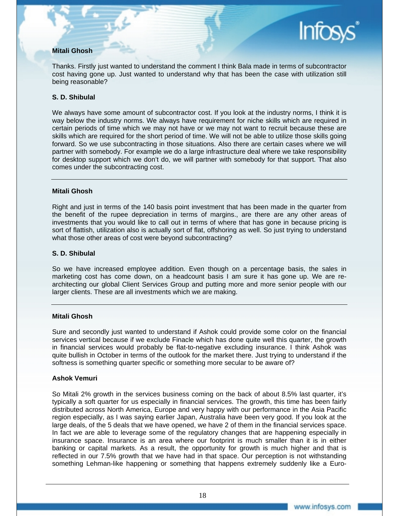# **Mitali Ghosh**

Thanks. Firstly just wanted to understand the comment I think Bala made in terms of subcontractor cost having gone up. Just wanted to understand why that has been the case with utilization still being reasonable?

# **S. D. Shibulal**

We always have some amount of subcontractor cost. If you look at the industry norms, I think it is way below the industry norms. We always have requirement for niche skills which are required in certain periods of time which we may not have or we may not want to recruit because these are skills which are required for the short period of time. We will not be able to utilize those skills going forward. So we use subcontracting in those situations. Also there are certain cases where we will partner with somebody. For example we do a large infrastructure deal where we take responsibility for desktop support which we don't do, we will partner with somebody for that support. That also comes under the subcontracting cost.

# **Mitali Ghosh**

Right and just in terms of the 140 basis point investment that has been made in the quarter from the benefit of the rupee depreciation in terms of margins., are there are any other areas of investments that you would like to call out in terms of where that has gone in because pricing is sort of flattish, utilization also is actually sort of flat, offshoring as well. So just trying to understand what those other areas of cost were beyond subcontracting?

# **S. D. Shibulal**

So we have increased employee addition. Even though on a percentage basis, the sales in marketing cost has come down, on a headcount basis I am sure it has gone up. We are rearchitecting our global Client Services Group and putting more and more senior people with our larger clients. These are all investments which we are making.

#### **Mitali Ghosh**

Sure and secondly just wanted to understand if Ashok could provide some color on the financial services vertical because if we exclude Finacle which has done quite well this quarter, the growth in financial services would probably be flat-to-negative excluding insurance. I think Ashok was quite bullish in October in terms of the outlook for the market there. Just trying to understand if the softness is something quarter specific or something more secular to be aware of?

#### **Ashok Vemuri**

So Mitali 2% growth in the services business coming on the back of about 8.5% last quarter, it's typically a soft quarter for us especially in financial services. The growth, this time has been fairly distributed across North America, Europe and very happy with our performance in the Asia Pacific region especially, as I was saying earlier Japan, Australia have been very good. If you look at the large deals, of the 5 deals that we have opened, we have 2 of them in the financial services space. In fact we are able to leverage some of the regulatory changes that are happening especially in insurance space. Insurance is an area where our footprint is much smaller than it is in either banking or capital markets. As a result, the opportunity for growth is much higher and that is reflected in our 7.5% growth that we have had in that space. Our perception is not withstanding something Lehman-like happening or something that happens extremely suddenly like a Euro-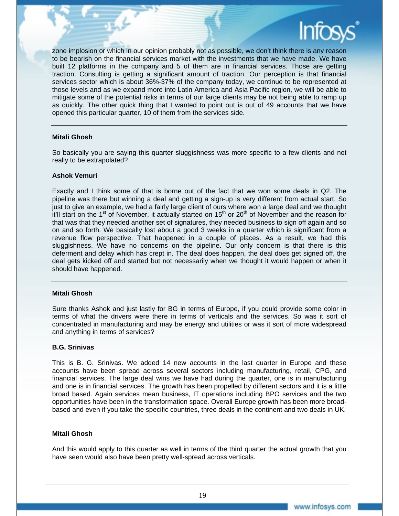

zone implosion or which in our opinion probably not as possible, we don't think there is any reason to be bearish on the financial services market with the investments that we have made. We have built 12 platforms in the company and 5 of them are in financial services. Those are getting traction. Consulting is getting a significant amount of traction. Our perception is that financial services sector which is about 36%-37% of the company today, we continue to be represented at those levels and as we expand more into Latin America and Asia Pacific region, we will be able to mitigate some of the potential risks in terms of our large clients may be not being able to ramp up as quickly. The other quick thing that I wanted to point out is out of 49 accounts that we have opened this particular quarter, 10 of them from the services side.

# **Mitali Ghosh**

So basically you are saying this quarter sluggishness was more specific to a few clients and not really to be extrapolated?

#### **Ashok Vemuri**

Exactly and I think some of that is borne out of the fact that we won some deals in Q2. The pipeline was there but winning a deal and getting a sign-up is very different from actual start. So just to give an example, we had a fairly large client of ours where won a large deal and we thought it'll start on the 1<sup>st</sup> of November, it actually started on 15<sup>th</sup> or 20<sup>th</sup> of November and the reason for that was that they needed another set of signatures, they needed business to sign off again and so on and so forth. We basically lost about a good 3 weeks in a quarter which is significant from a revenue flow perspective. That happened in a couple of places. As a result, we had this sluggishness. We have no concerns on the pipeline. Our only concern is that there is this deferment and delay which has crept in. The deal does happen, the deal does get signed off, the deal gets kicked off and started but not necessarily when we thought it would happen or when it should have happened.

#### **Mitali Ghosh**

Sure thanks Ashok and just lastly for BG in terms of Europe, if you could provide some color in terms of what the drivers were there in terms of verticals and the services. So was it sort of concentrated in manufacturing and may be energy and utilities or was it sort of more widespread and anything in terms of services?

#### **B.G. Srinivas**

This is B. G. Srinivas. We added 14 new accounts in the last quarter in Europe and these accounts have been spread across several sectors including manufacturing, retail, CPG, and financial services. The large deal wins we have had during the quarter, one is in manufacturing and one is in financial services. The growth has been propelled by different sectors and it is a little broad based. Again services mean business, IT operations including BPO services and the two opportunities have been in the transformation space. Overall Europe growth has been more broadbased and even if you take the specific countries, three deals in the continent and two deals in UK.

#### **Mitali Ghosh**

And this would apply to this quarter as well in terms of the third quarter the actual growth that you have seen would also have been pretty well-spread across verticals.